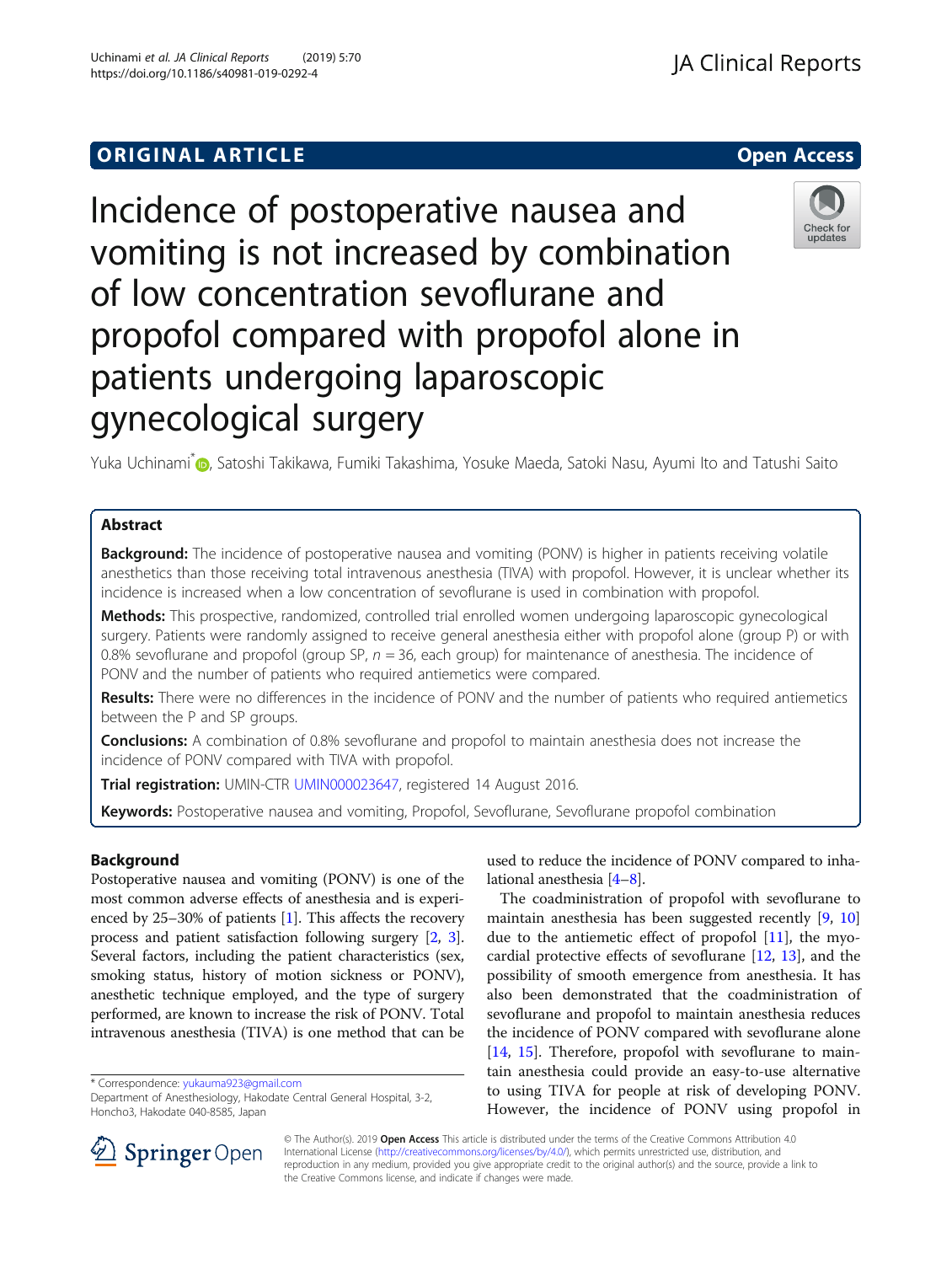# **ORIGINAL ARTICLE CONSERVANCE IN A LOCAL CONSERVANCE IN A LOCAL CONSERVANCE IN A LOCAL CONSERVANCE IN A LOCAL CONS**

# Incidence of postoperative nausea and vomiting is not increased by combination of low concentration sevoflurane and propofol compared with propofol alone in patients undergoing laparoscopic gynecological surgery

Yuka Uchinami<sup>[\\*](http://orcid.org/0000-0001-7977-7055)</sup> , Satoshi Takikawa, Fumiki Takashima, Yosuke Maeda, Satoki Nasu, Ayumi Ito and Tatushi Saito

# Abstract

**Background:** The incidence of postoperative nausea and vomiting (PONV) is higher in patients receiving volatile anesthetics than those receiving total intravenous anesthesia (TIVA) with propofol. However, it is unclear whether its incidence is increased when a low concentration of sevoflurane is used in combination with propofol.

Methods: This prospective, randomized, controlled trial enrolled women undergoing laparoscopic gynecological surgery. Patients were randomly assigned to receive general anesthesia either with propofol alone (group P) or with 0.8% sevoflurane and propofol (group SP,  $n = 36$ , each group) for maintenance of anesthesia. The incidence of PONV and the number of patients who required antiemetics were compared.

Results: There were no differences in the incidence of PONV and the number of patients who required antiemetics between the P and SP groups.

**Conclusions:** A combination of 0.8% sevoflurane and propofol to maintain anesthesia does not increase the incidence of PONV compared with TIVA with propofol.

Trial registration: UMIN-CTR [UMIN000023647,](https://upload.umin.ac.jp/cgi-open-bin/ctr/ctr_view.cgi?recptno=R000027236) registered 14 August 2016.

Keywords: Postoperative nausea and vomiting, Propofol, Sevoflurane, Sevoflurane propofol combination

# Background

Postoperative nausea and vomiting (PONV) is one of the most common adverse effects of anesthesia and is experienced by 25–30% of patients [[1\]](#page-4-0). This affects the recovery process and patient satisfaction following surgery [\[2,](#page-4-0) [3](#page-4-0)]. Several factors, including the patient characteristics (sex, smoking status, history of motion sickness or PONV), anesthetic technique employed, and the type of surgery performed, are known to increase the risk of PONV. Total intravenous anesthesia (TIVA) is one method that can be

\* Correspondence: [yukauma923@gmail.com](mailto:yukauma923@gmail.com)

Department of Anesthesiology, Hakodate Central General Hospital, 3-2, Honcho3, Hakodate 040-8585, Japan

used to reduce the incidence of PONV compared to inhalational anesthesia [\[4](#page-4-0)–[8\]](#page-4-0).

The coadministration of propofol with sevoflurane to maintain anesthesia has been suggested recently [\[9](#page-4-0), [10](#page-4-0)] due to the antiemetic effect of propofol  $[11]$  $[11]$ , the myocardial protective effects of sevoflurane [\[12](#page-4-0), [13](#page-4-0)], and the possibility of smooth emergence from anesthesia. It has also been demonstrated that the coadministration of sevoflurane and propofol to maintain anesthesia reduces the incidence of PONV compared with sevoflurane alone [[14,](#page-4-0) [15\]](#page-4-0). Therefore, propofol with sevoflurane to maintain anesthesia could provide an easy-to-use alternative to using TIVA for people at risk of developing PONV. However, the incidence of PONV using propofol in

SpringerOpen

© The Author(s). 2019 Open Access This article is distributed under the terms of the Creative Commons Attribution 4.0 International License ([http://creativecommons.org/licenses/by/4.0/\)](http://creativecommons.org/licenses/by/4.0/), which permits unrestricted use, distribution, and reproduction in any medium, provided you give appropriate credit to the original author(s) and the source, provide a link to the Creative Commons license, and indicate if changes were made.



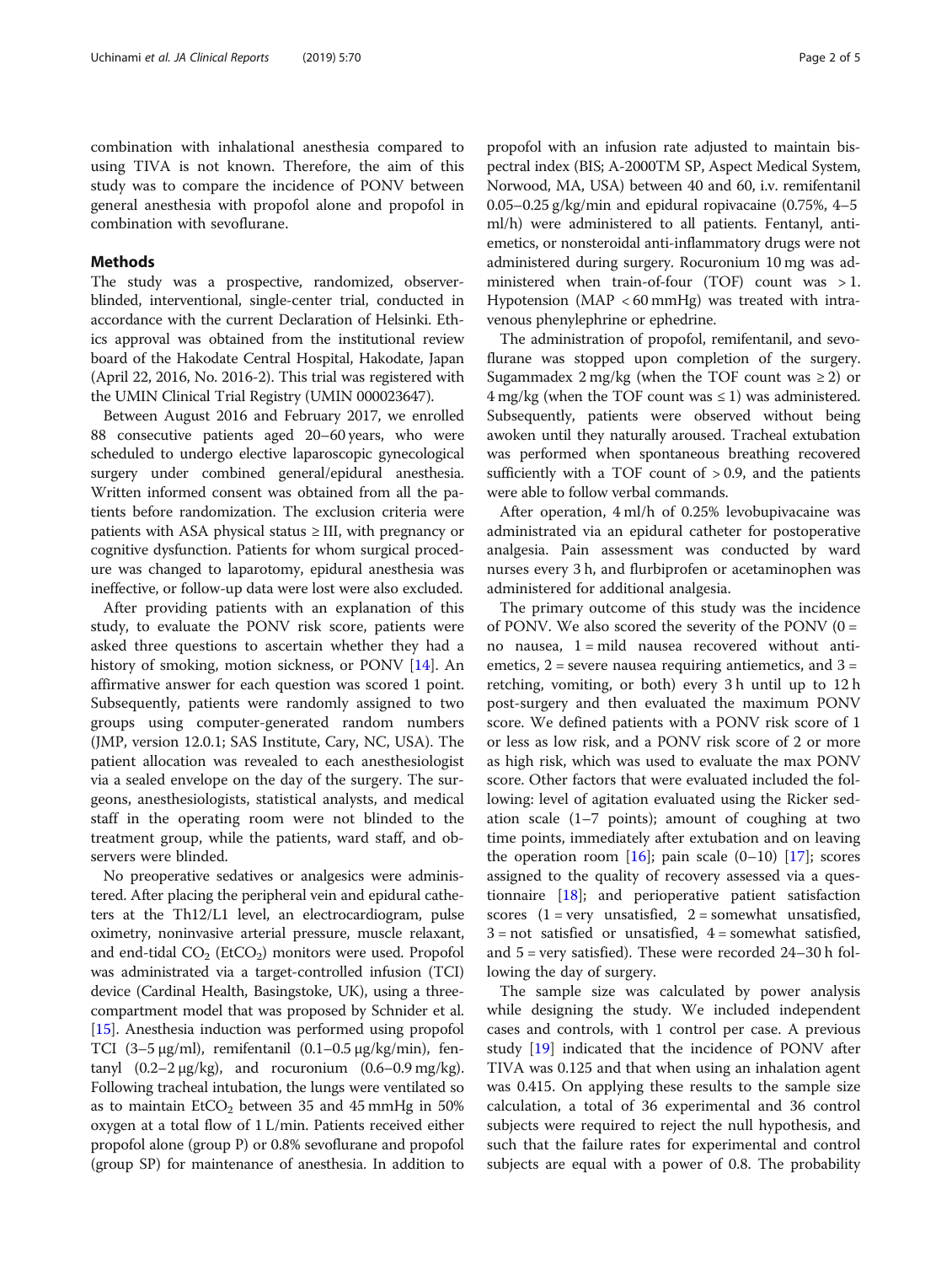combination with inhalational anesthesia compared to using TIVA is not known. Therefore, the aim of this study was to compare the incidence of PONV between general anesthesia with propofol alone and propofol in combination with sevoflurane.

# Methods

The study was a prospective, randomized, observerblinded, interventional, single-center trial, conducted in accordance with the current Declaration of Helsinki. Ethics approval was obtained from the institutional review board of the Hakodate Central Hospital, Hakodate, Japan (April 22, 2016, No. 2016-2). This trial was registered with the UMIN Clinical Trial Registry (UMIN 000023647).

Between August 2016 and February 2017, we enrolled 88 consecutive patients aged 20–60 years, who were scheduled to undergo elective laparoscopic gynecological surgery under combined general/epidural anesthesia. Written informed consent was obtained from all the patients before randomization. The exclusion criteria were patients with ASA physical status ≥ III, with pregnancy or cognitive dysfunction. Patients for whom surgical procedure was changed to laparotomy, epidural anesthesia was ineffective, or follow-up data were lost were also excluded.

After providing patients with an explanation of this study, to evaluate the PONV risk score, patients were asked three questions to ascertain whether they had a history of smoking, motion sickness, or PONV [\[14](#page-4-0)]. An affirmative answer for each question was scored 1 point. Subsequently, patients were randomly assigned to two groups using computer-generated random numbers (JMP, version 12.0.1; SAS Institute, Cary, NC, USA). The patient allocation was revealed to each anesthesiologist via a sealed envelope on the day of the surgery. The surgeons, anesthesiologists, statistical analysts, and medical staff in the operating room were not blinded to the treatment group, while the patients, ward staff, and observers were blinded.

No preoperative sedatives or analgesics were administered. After placing the peripheral vein and epidural catheters at the Th12/L1 level, an electrocardiogram, pulse oximetry, noninvasive arterial pressure, muscle relaxant, and end-tidal  $CO<sub>2</sub>$  (EtCO<sub>2</sub>) monitors were used. Propofol was administrated via a target-controlled infusion (TCI) device (Cardinal Health, Basingstoke, UK), using a threecompartment model that was proposed by Schnider et al. [[15](#page-4-0)]. Anesthesia induction was performed using propofol TCI  $(3-5 \mu g/ml)$ , remifentanil  $(0.1-0.5 \mu g/kg/min)$ , fentanyl  $(0.2-2 \mu g/kg)$ , and rocuronium  $(0.6-0.9 \text{ mg/kg})$ . Following tracheal intubation, the lungs were ventilated so as to maintain  $ECO<sub>2</sub>$  between 35 and 45 mmHg in 50% oxygen at a total flow of 1 L/min. Patients received either propofol alone (group P) or 0.8% sevoflurane and propofol (group SP) for maintenance of anesthesia. In addition to propofol with an infusion rate adjusted to maintain bispectral index (BIS; A-2000TM SP, Aspect Medical System, Norwood, MA, USA) between 40 and 60, i.v. remifentanil 0.05–0.25 g/kg/min and epidural ropivacaine  $(0.75\%, 4–5)$ ml/h) were administered to all patients. Fentanyl, antiemetics, or nonsteroidal anti-inflammatory drugs were not administered during surgery. Rocuronium 10 mg was administered when train-of-four (TOF) count was  $>1$ . Hypotension (MAP < 60 mmHg) was treated with intravenous phenylephrine or ephedrine.

The administration of propofol, remifentanil, and sevoflurane was stopped upon completion of the surgery. Sugammadex  $2 \text{ mg/kg}$  (when the TOF count was  $\geq 2$ ) or  $4 \text{ mg/kg}$  (when the TOF count was  $\leq 1$ ) was administered. Subsequently, patients were observed without being awoken until they naturally aroused. Tracheal extubation was performed when spontaneous breathing recovered sufficiently with a TOF count of  $> 0.9$ , and the patients were able to follow verbal commands.

After operation, 4 ml/h of 0.25% levobupivacaine was administrated via an epidural catheter for postoperative analgesia. Pain assessment was conducted by ward nurses every 3 h, and flurbiprofen or acetaminophen was administered for additional analgesia.

The primary outcome of this study was the incidence of PONV. We also scored the severity of the PONV  $(0 =$ no nausea, 1 = mild nausea recovered without antiemetics,  $2$  = severe nausea requiring antiemetics, and  $3$  = retching, vomiting, or both) every 3 h until up to 12 h post-surgery and then evaluated the maximum PONV score. We defined patients with a PONV risk score of 1 or less as low risk, and a PONV risk score of 2 or more as high risk, which was used to evaluate the max PONV score. Other factors that were evaluated included the following: level of agitation evaluated using the Ricker sedation scale (1–7 points); amount of coughing at two time points, immediately after extubation and on leaving the operation room  $[16]$  $[16]$  $[16]$ ; pain scale  $(0-10)$   $[17]$ ; scores assigned to the quality of recovery assessed via a questionnaire [[18\]](#page-4-0); and perioperative patient satisfaction scores  $(1 = \text{very unsatisfied}, 2 = \text{somewhat unsatisfied},$  $3 = not satisfied or unsatisfied, 4 = somewhat satisfied,$ and 5 = very satisfied). These were recorded 24–30 h following the day of surgery.

The sample size was calculated by power analysis while designing the study. We included independent cases and controls, with 1 control per case. A previous study [\[19](#page-4-0)] indicated that the incidence of PONV after TIVA was 0.125 and that when using an inhalation agent was 0.415. On applying these results to the sample size calculation, a total of 36 experimental and 36 control subjects were required to reject the null hypothesis, and such that the failure rates for experimental and control subjects are equal with a power of 0.8. The probability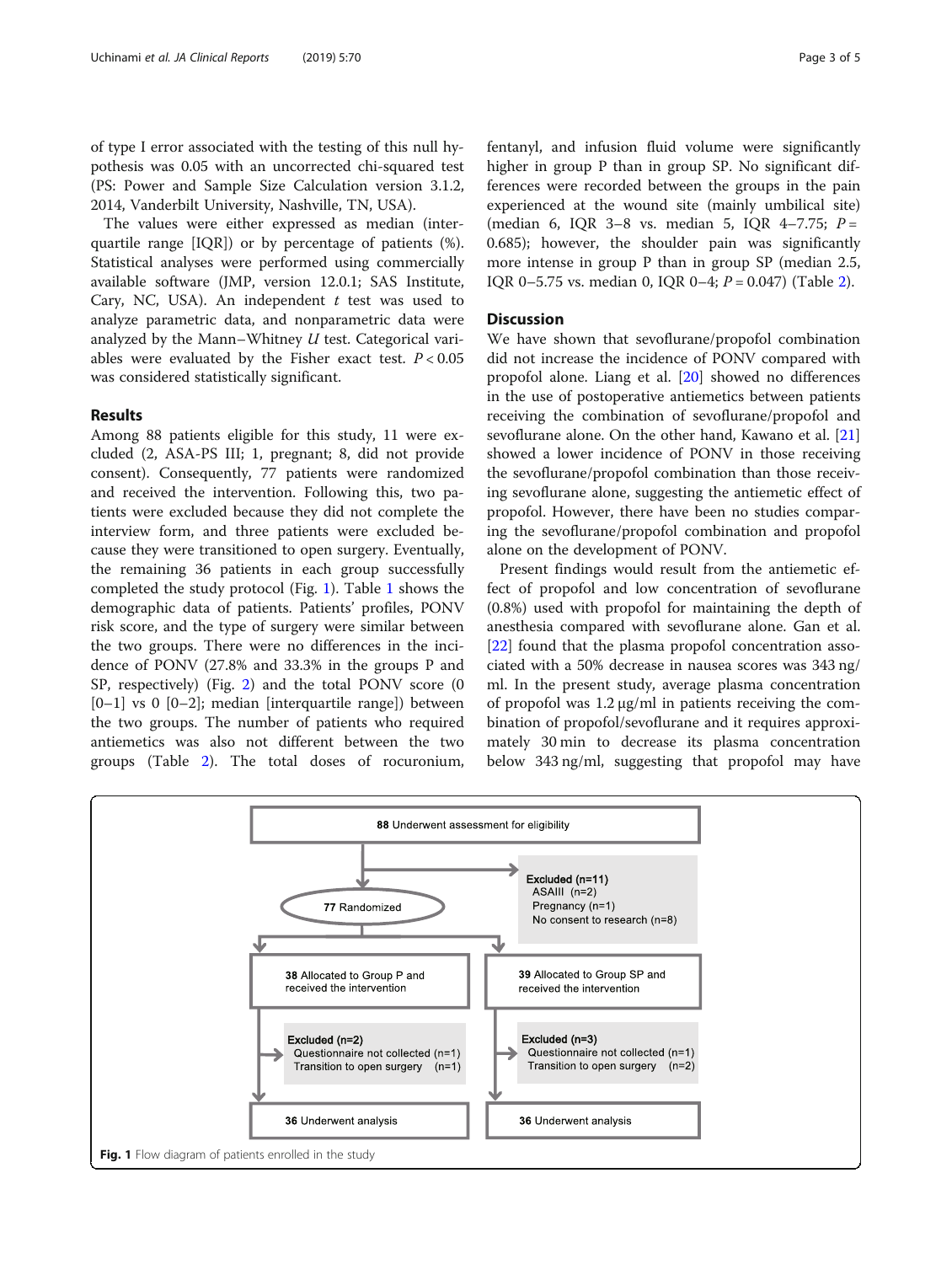of type I error associated with the testing of this null hypothesis was 0.05 with an uncorrected chi-squared test (PS: Power and Sample Size Calculation version 3.1.2, 2014, Vanderbilt University, Nashville, TN, USA).

The values were either expressed as median (interquartile range [IQR]) or by percentage of patients (%). Statistical analyses were performed using commercially available software (JMP, version 12.0.1; SAS Institute, Cary, NC, USA). An independent  $t$  test was used to analyze parametric data, and nonparametric data were analyzed by the Mann–Whitney  $U$  test. Categorical variables were evaluated by the Fisher exact test.  $P < 0.05$ was considered statistically significant.

# Results

Among 88 patients eligible for this study, 11 were excluded (2, ASA-PS III; 1, pregnant; 8, did not provide consent). Consequently, 77 patients were randomized and received the intervention. Following this, two patients were excluded because they did not complete the interview form, and three patients were excluded because they were transitioned to open surgery. Eventually, the remaining 36 patients in each group successfully completed the study protocol (Fig. 1). Table [1](#page-3-0) shows the demographic data of patients. Patients' profiles, PONV risk score, and the type of surgery were similar between the two groups. There were no differences in the incidence of PONV (27.8% and 33.3% in the groups P and SP, respectively) (Fig. [2](#page-3-0)) and the total PONV score (0  $[0-1]$  vs 0  $[0-2]$ ; median [interquartile range]) between the two groups. The number of patients who required antiemetics was also not different between the two groups (Table [2\)](#page-3-0). The total doses of rocuronium,

fentanyl, and infusion fluid volume were significantly higher in group P than in group SP. No significant differences were recorded between the groups in the pain experienced at the wound site (mainly umbilical site) (median 6, IQR 3-8 vs. median 5, IQR 4-7.75;  $P =$ 0.685); however, the shoulder pain was significantly more intense in group P than in group SP (median 2.5, IQR 0–5.75 vs. median 0, IQR 0–4;  $P = 0.047$ ) (Table [2\)](#page-3-0).

## **Discussion**

We have shown that sevoflurane/propofol combination did not increase the incidence of PONV compared with propofol alone. Liang et al. [[20](#page-4-0)] showed no differences in the use of postoperative antiemetics between patients receiving the combination of sevoflurane/propofol and sevoflurane alone. On the other hand, Kawano et al. [[21](#page-4-0)] showed a lower incidence of PONV in those receiving the sevoflurane/propofol combination than those receiving sevoflurane alone, suggesting the antiemetic effect of propofol. However, there have been no studies comparing the sevoflurane/propofol combination and propofol alone on the development of PONV.

Present findings would result from the antiemetic effect of propofol and low concentration of sevoflurane (0.8%) used with propofol for maintaining the depth of anesthesia compared with sevoflurane alone. Gan et al. [[22\]](#page-4-0) found that the plasma propofol concentration associated with a 50% decrease in nausea scores was 343 ng/ ml. In the present study, average plasma concentration of propofol was 1.2 μg/ml in patients receiving the combination of propofol/sevoflurane and it requires approximately 30 min to decrease its plasma concentration below 343 ng/ml, suggesting that propofol may have

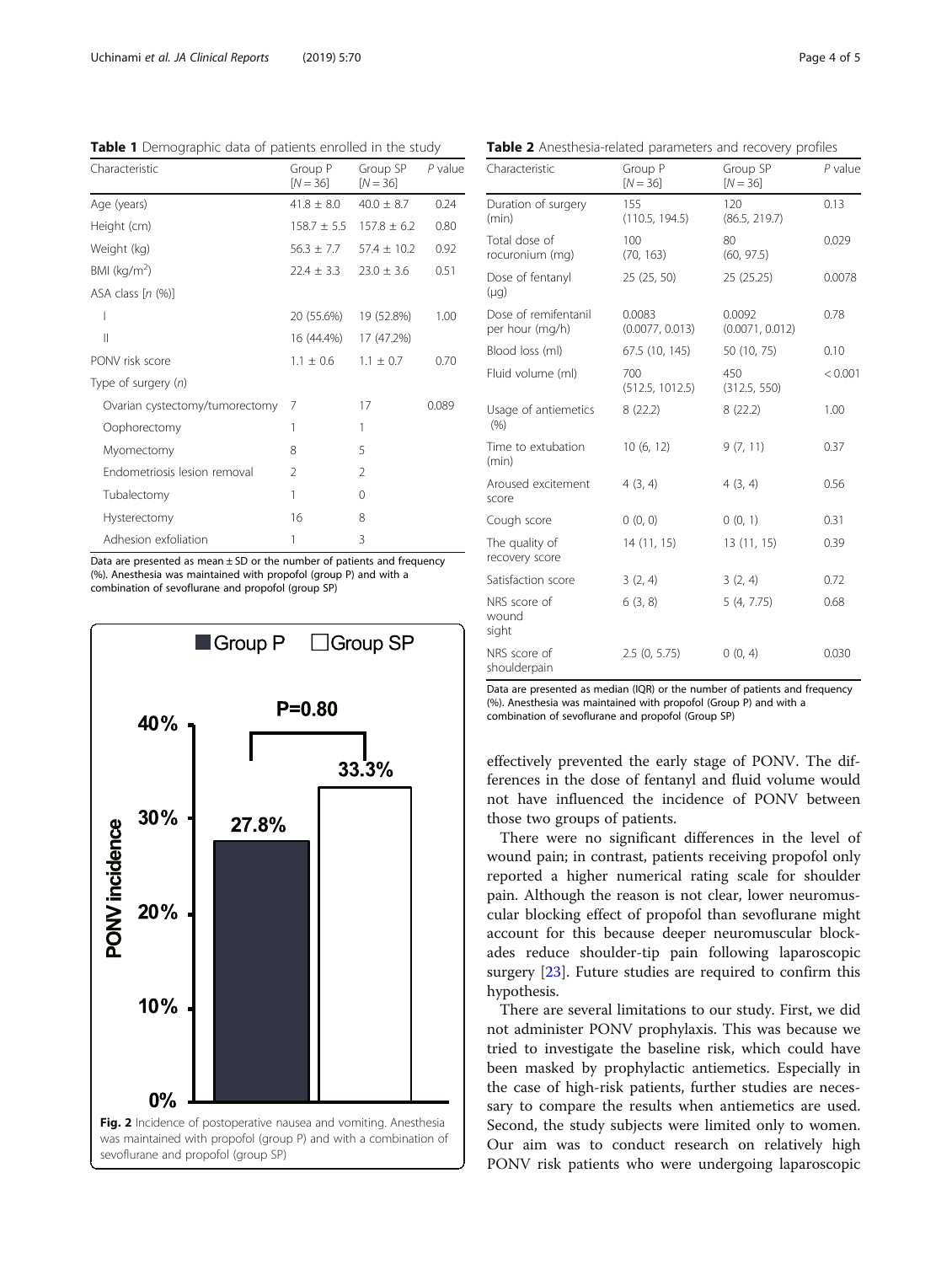Characteristic Group P  $[N = 36]$ Group SP  $[N = 36]$ P value Age (years)  $41.8 \pm 8.0$   $40.0 \pm 8.7$  0.24 Height (cm) 158.7  $\pm$  5.5 157.8  $\pm$  6.2 0.80 Weight (kg)  $56.3 \pm 7.7$   $57.4 \pm 10.2$  0.92 BMI  $(kg/m<sup>2</sup>)$  $224 + 33$   $230 + 36$  0.51 ASA class [n (%)] I 20 (55.6%) 19 (52.8%) 1.00 II 16 (44.4%) 17 (47.2%) PONV risk score  $1.1 \pm 0.6$   $1.1 \pm 0.7$  0.70 Type of surgery (n) Ovarian cystectomy/tumorectomy 7 17 0.089 Oophorectomy 1 1 1 Myomectomy 8 5 Endometriosis lesion removal 2 2 Tubalectomy 1 0 Hysterectomy 16 8 Adhesion exfoliation 1 3

<span id="page-3-0"></span>Table 1 Demographic data of patients enrolled in the study

Data are presented as mean  $\pm$  SD or the number of patients and frequency (%). Anesthesia was maintained with propofol (group P) and with a combination of sevoflurane and propofol (group SP)



Table 2 Anesthesia-related parameters and recovery profiles

| Characteristic                          | Group P<br>$[N = 36]$     | Group SP<br>$[N = 36]$    | $P$ value |  |
|-----------------------------------------|---------------------------|---------------------------|-----------|--|
| Duration of surgery<br>(min)            | 155<br>(110.5, 194.5)     | 120<br>(86.5, 219.7)      | 0.13      |  |
| Total dose of<br>rocuronium (mg)        | 100<br>(70, 163)          | 80<br>(60, 97.5)          | 0.029     |  |
| Dose of fentanyl<br>(µg)                | 25(25, 50)                | 25(25.25)                 | 0.0078    |  |
| Dose of remifentanil<br>per hour (mg/h) | 0.0083<br>(0.0077, 0.013) | 0.0092<br>(0.0071, 0.012) | 0.78      |  |
| Blood loss (ml)                         | 67.5 (10, 145)            | 50 (10, 75)               | 0.10      |  |
| Fluid volume (ml)                       | 700<br>(512.5, 1012.5)    | 450<br>(312.5, 550)       | < 0.001   |  |
| Usage of antiemetics<br>(% )            | 8(22.2)                   | 8(22.2)                   | 1.00      |  |
| Time to extubation<br>(min)             | 10(6, 12)                 | 9(7, 11)                  | 0.37      |  |
| Aroused excitement<br>score             | 4(3, 4)                   | 4(3, 4)                   | 0.56      |  |
| Cough score                             | 0(0, 0)                   | 0(0, 1)                   | 0.31      |  |
| The quality of<br>recovery score        | 14(11, 15)                | 13(11, 15)                | 0.39      |  |
| Satisfaction score                      | 3(2, 4)                   | 3(2, 4)                   | 0.72      |  |
| NRS score of<br>wound<br>sight          | 6(3, 8)                   | 5(4, 7.75)                | 0.68      |  |
| NRS score of<br>shoulderpain            | 2.5(0, 5.75)              | 0(0, 4)                   | 0.030     |  |

Data are presented as median (IQR) or the number of patients and frequency (%). Anesthesia was maintained with propofol (Group P) and with a combination of sevoflurane and propofol (Group SP)

effectively prevented the early stage of PONV. The differences in the dose of fentanyl and fluid volume would not have influenced the incidence of PONV between those two groups of patients.

There were no significant differences in the level of wound pain; in contrast, patients receiving propofol only reported a higher numerical rating scale for shoulder pain. Although the reason is not clear, lower neuromuscular blocking effect of propofol than sevoflurane might account for this because deeper neuromuscular blockades reduce shoulder-tip pain following laparoscopic surgery [\[23](#page-4-0)]. Future studies are required to confirm this hypothesis.

There are several limitations to our study. First, we did not administer PONV prophylaxis. This was because we tried to investigate the baseline risk, which could have been masked by prophylactic antiemetics. Especially in the case of high-risk patients, further studies are necessary to compare the results when antiemetics are used. Second, the study subjects were limited only to women. Our aim was to conduct research on relatively high PONV risk patients who were undergoing laparoscopic